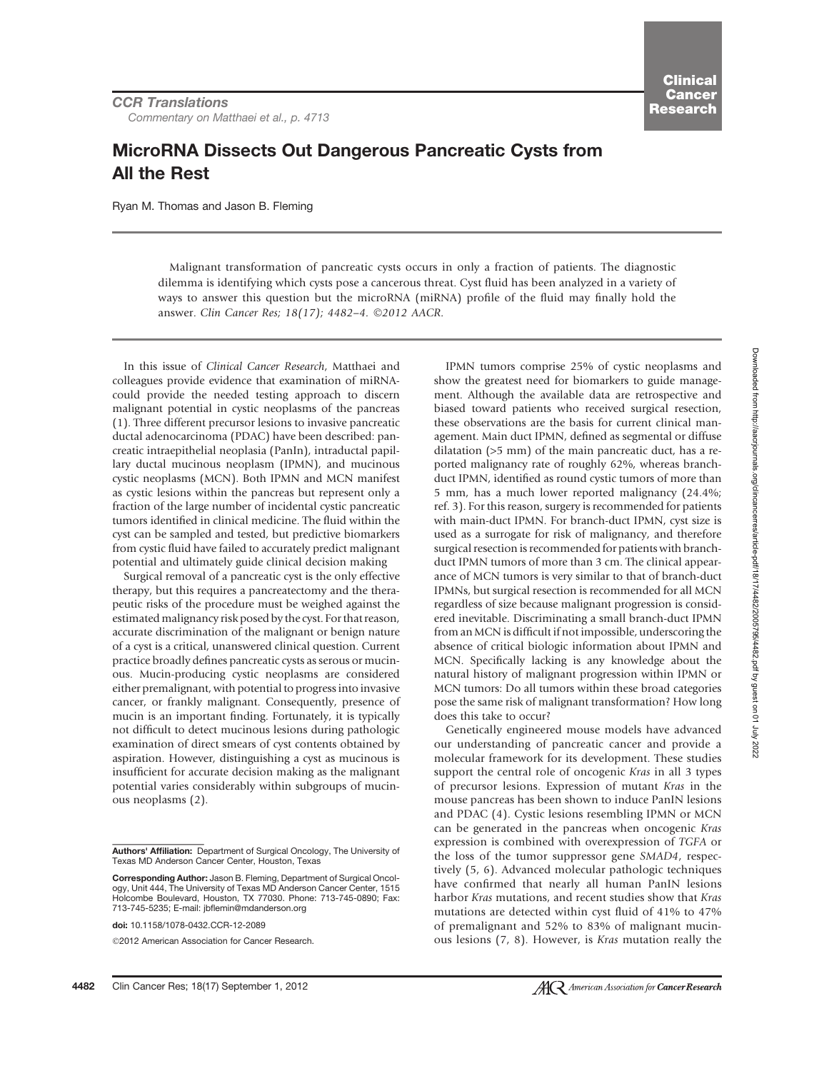4482 Clin Cancer Res; 18(17) September 1, 2012

# MicroRNA Dissects Out Dangerous Pancreatic Cysts from All the Rest

Ryan M. Thomas and Jason B. Fleming

Malignant transformation of pancreatic cysts occurs in only a fraction of patients. The diagnostic dilemma is identifying which cysts pose a cancerous threat. Cyst fluid has been analyzed in a variety of ways to answer this question but the microRNA (miRNA) profile of the fluid may finally hold the answer. Clin Cancer Res; 18(17); 4482-4. ©2012 AACR.

In this issue of Clinical Cancer Research, Matthaei and colleagues provide evidence that examination of miRNAcould provide the needed testing approach to discern malignant potential in cystic neoplasms of the pancreas (1). Three different precursor lesions to invasive pancreatic ductal adenocarcinoma (PDAC) have been described: pancreatic intraepithelial neoplasia (PanIn), intraductal papillary ductal mucinous neoplasm (IPMN), and mucinous cystic neoplasms (MCN). Both IPMN and MCN manifest as cystic lesions within the pancreas but represent only a fraction of the large number of incidental cystic pancreatic tumors identified in clinical medicine. The fluid within the cyst can be sampled and tested, but predictive biomarkers from cystic fluid have failed to accurately predict malignant potential and ultimately guide clinical decision making

Surgical removal of a pancreatic cyst is the only effective therapy, but this requires a pancreatectomy and the therapeutic risks of the procedure must be weighed against the estimated malignancy risk posed by the cyst. For that reason, accurate discrimination of the malignant or benign nature of a cyst is a critical, unanswered clinical question. Current practice broadly defines pancreatic cysts as serous or mucinous. Mucin-producing cystic neoplasms are considered either premalignant, with potential to progress into invasive cancer, or frankly malignant. Consequently, presence of mucin is an important finding. Fortunately, it is typically not difficult to detect mucinous lesions during pathologic examination of direct smears of cyst contents obtained by aspiration. However, distinguishing a cyst as mucinous is insufficient for accurate decision making as the malignant potential varies considerably within subgroups of mucinous neoplasms (2).

2012 American Association for Cancer Research.

IPMN tumors comprise 25% of cystic neoplasms and show the greatest need for biomarkers to guide management. Although the available data are retrospective and biased toward patients who received surgical resection, these observations are the basis for current clinical management. Main duct IPMN, defined as segmental or diffuse dilatation (>5 mm) of the main pancreatic duct, has a reported malignancy rate of roughly 62%, whereas branchduct IPMN, identified as round cystic tumors of more than 5 mm, has a much lower reported malignancy (24.4%; ref. 3). For this reason, surgery is recommended for patients with main-duct IPMN. For branch-duct IPMN, cyst size is used as a surrogate for risk of malignancy, and therefore surgical resection is recommended for patients with branchduct IPMN tumors of more than 3 cm. The clinical appearance of MCN tumors is very similar to that of branch-duct IPMNs, but surgical resection is recommended for all MCN regardless of size because malignant progression is considered inevitable. Discriminating a small branch-duct IPMN from an MCN is difficult if not impossible, underscoring the absence of critical biologic information about IPMN and MCN. Specifically lacking is any knowledge about the natural history of malignant progression within IPMN or MCN tumors: Do all tumors within these broad categories pose the same risk of malignant transformation? How long does this take to occur?

Genetically engineered mouse models have advanced our understanding of pancreatic cancer and provide a molecular framework for its development. These studies support the central role of oncogenic Kras in all 3 types of precursor lesions. Expression of mutant Kras in the mouse pancreas has been shown to induce PanIN lesions and PDAC (4). Cystic lesions resembling IPMN or MCN can be generated in the pancreas when oncogenic Kras expression is combined with overexpression of TGFA or the loss of the tumor suppressor gene SMAD4, respectively (5, 6). Advanced molecular pathologic techniques have confirmed that nearly all human PanIN lesions harbor Kras mutations, and recent studies show that Kras mutations are detected within cyst fluid of 41% to 47% of premalignant and 52% to 83% of malignant mucinous lesions (7, 8). However, is Kras mutation really the

## **AC** American Association for **Cancer Research**

Authors' Affiliation: Department of Surgical Oncology, The University of Texas MD Anderson Cancer Center, Houston, Texas

Corresponding Author: Jason B. Fleming, Department of Surgical Oncology, Unit 444, The University of Texas MD Anderson Cancer Center, 1515 Holcombe Boulevard, Houston, TX 77030. Phone: 713-745-0890; Fax: 713-745-5235; E-mail: jbflemin@mdanderson.org

doi: 10.1158/1078-0432.CCR-12-2089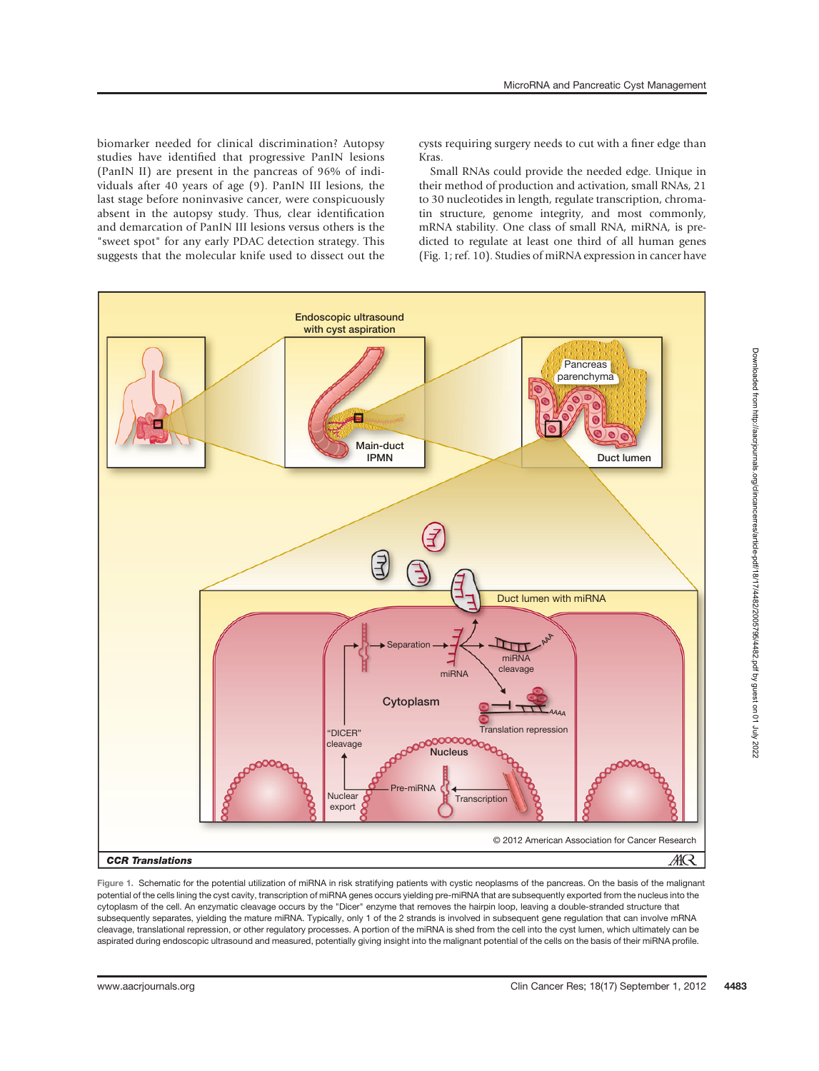biomarker needed for clinical discrimination? Autopsy studies have identified that progressive PanIN lesions (PanIN II) are present in the pancreas of 96% of individuals after 40 years of age (9). PanIN III lesions, the last stage before noninvasive cancer, were conspicuously absent in the autopsy study. Thus, clear identification and demarcation of PanIN III lesions versus others is the "sweet spot" for any early PDAC detection strategy. This suggests that the molecular knife used to dissect out the cysts requiring surgery needs to cut with a finer edge than Kras.

Small RNAs could provide the needed edge. Unique in their method of production and activation, small RNAs, 21 to 30 nucleotides in length, regulate transcription, chromatin structure, genome integrity, and most commonly, mRNA stability. One class of small RNA, miRNA, is predicted to regulate at least one third of all human genes (Fig. 1; ref. 10). Studies of miRNA expression in cancer have



Figure 1. Schematic for the potential utilization of miRNA in risk stratifying patients with cystic neoplasms of the pancreas. On the basis of the malignant potential of the cells lining the cyst cavity, transcription of miRNA genes occurs yielding pre-miRNA that are subsequently exported from the nucleus into the cytoplasm of the cell. An enzymatic cleavage occurs by the "Dicer" enzyme that removes the hairpin loop, leaving a double-stranded structure that subsequently separates, yielding the mature miRNA. Typically, only 1 of the 2 strands is involved in subsequent gene regulation that can involve mRNA cleavage, translational repression, or other regulatory processes. A portion of the miRNA is shed from the cell into the cyst lumen, which ultimately can be aspirated during endoscopic ultrasound and measured, potentially giving insight into the malignant potential of the cells on the basis of their miRNA profile.